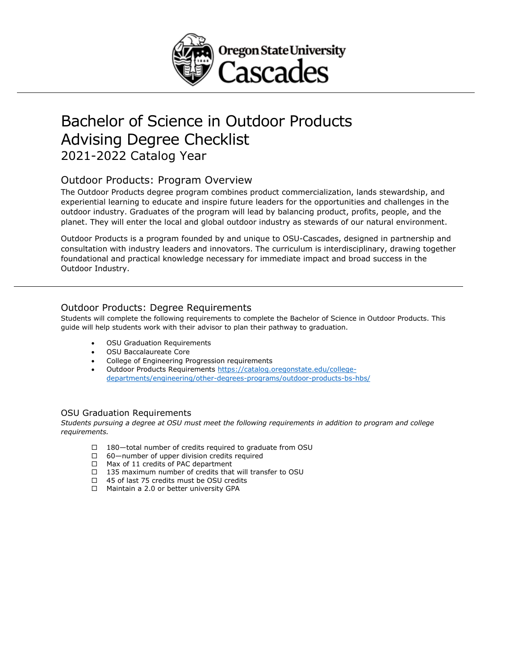

# Bachelor of Science in Outdoor Products Advising Degree Checklist 2021-2022 Catalog Year

### Outdoor Products: Program Overview

The Outdoor Products degree program combines product commercialization, lands stewardship, and experiential learning to educate and inspire future leaders for the opportunities and challenges in the outdoor industry. Graduates of the program will lead by balancing product, profits, people, and the planet. They will enter the local and global outdoor industry as stewards of our natural environment.

Outdoor Products is a program founded by and unique to OSU-Cascades, designed in partnership and consultation with industry leaders and innovators. The curriculum is interdisciplinary, drawing together foundational and practical knowledge necessary for immediate impact and broad success in the Outdoor Industry.

#### Outdoor Products: Degree Requirements

Students will complete the following requirements to complete the Bachelor of Science in Outdoor Products. This guide will help students work with their advisor to plan their pathway to graduation.

- OSU Graduation Requirements
- OSU Baccalaureate Core
- College of Engineering Progression requirements
- Outdoor Products Requirements [https://catalog.oregonstate.edu/college](https://catalog.oregonstate.edu/college-departments/engineering/other-degrees-programs/outdoor-products-bs-hbs/)[departments/engineering/other-degrees-programs/outdoor-products-bs-hbs/](https://catalog.oregonstate.edu/college-departments/engineering/other-degrees-programs/outdoor-products-bs-hbs/)

#### OSU Graduation Requirements

*Students pursuing a degree at OSU must meet the following requirements in addition to program and college requirements.*

- □ 180—total number of credits required to graduate from OSU
- □ 60—number of upper division credits required
- □ Max of 11 credits of PAC department
- $\Box$  135 maximum number of credits that will transfer to OSU
- □ 45 of last 75 credits must be OSU credits
- □ Maintain a 2.0 or better university GPA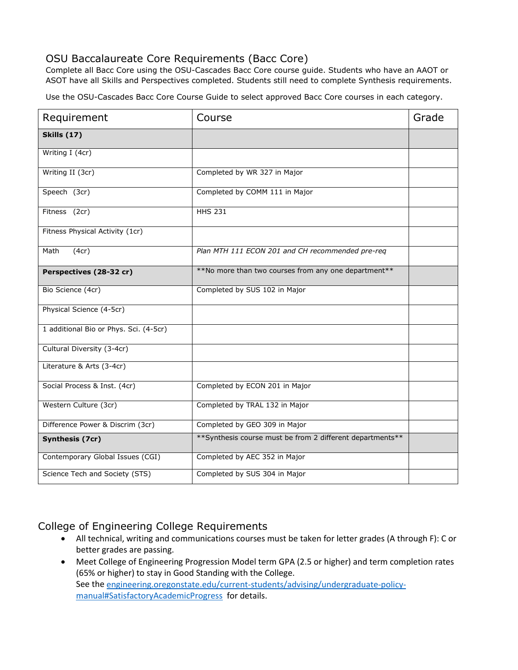### OSU Baccalaureate Core Requirements (Bacc Core)

Complete all Bacc Core using the OSU-Cascades Bacc Core course guide. Students who have an AAOT or ASOT have all Skills and Perspectives completed. Students still need to complete Synthesis requirements.

Use the OSU-Cascades Bacc Core Course Guide to select approved Bacc Core courses in each category.

| Requirement                            | Course                                                      | Grade |
|----------------------------------------|-------------------------------------------------------------|-------|
| <b>Skills (17)</b>                     |                                                             |       |
| Writing I (4cr)                        |                                                             |       |
| Writing II (3cr)                       | Completed by WR 327 in Major                                |       |
| Speech (3cr)                           | Completed by COMM 111 in Major                              |       |
| Fitness (2cr)                          | <b>HHS 231</b>                                              |       |
| Fitness Physical Activity (1cr)        |                                                             |       |
| (4cr)<br>Math                          | Plan MTH 111 ECON 201 and CH recommended pre-req            |       |
| Perspectives (28-32 cr)                | **No more than two courses from any one department**        |       |
| Bio Science (4cr)                      | Completed by SUS 102 in Major                               |       |
| Physical Science (4-5cr)               |                                                             |       |
| 1 additional Bio or Phys. Sci. (4-5cr) |                                                             |       |
| Cultural Diversity (3-4cr)             |                                                             |       |
| Literature & Arts (3-4cr)              |                                                             |       |
| Social Process & Inst. (4cr)           | Completed by ECON 201 in Major                              |       |
| Western Culture (3cr)                  | Completed by TRAL 132 in Major                              |       |
| Difference Power & Discrim (3cr)       | Completed by GEO 309 in Major                               |       |
| Synthesis (7cr)                        | ** Synthesis course must be from 2 different departments ** |       |
| Contemporary Global Issues (CGI)       | Completed by AEC 352 in Major                               |       |
| Science Tech and Society (STS)         | Completed by SUS 304 in Major                               |       |

### College of Engineering College Requirements

- All technical, writing and communications courses must be taken for letter grades (A through F): C or better grades are passing.
- Meet College of Engineering Progression Model term GPA (2.5 or higher) and term completion rates (65% or higher) to stay in Good Standing with the College. See the [engineering.oregonstate.edu/current-students/advising/undergraduate-policy](https://engineering.oregonstate.edu/current-students/advising/undergraduate-policy-manual#SatisfactoryAcademicProgress)[manual#SatisfactoryAcademicProgress](https://engineering.oregonstate.edu/current-students/advising/undergraduate-policy-manual#SatisfactoryAcademicProgress) for details.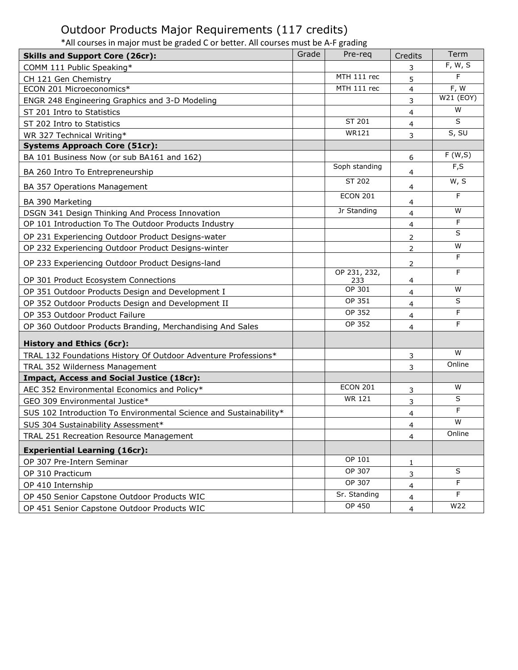## Outdoor Products Major Requirements (117 credits)

\*All courses in major must be graded C or better. All courses must be A-F grading

|                                                                                | Term              |
|--------------------------------------------------------------------------------|-------------------|
| Grade<br>Pre-req<br>Credits<br><b>Skills and Support Core (26cr):</b>          | F, W, S           |
| COMM 111 Public Speaking*<br>3<br>MTH 111 rec                                  | F                 |
| CH 121 Gen Chemistry<br>5<br>MTH 111 rec                                       |                   |
| ECON 201 Microeconomics*<br>$\overline{4}$                                     | F, W<br>W21 (EOY) |
| ENGR 248 Engineering Graphics and 3-D Modeling<br>3                            | W                 |
| ST 201 Intro to Statistics<br>$\overline{4}$<br>ST 201                         | S                 |
| ST 202 Intro to Statistics<br>4<br><b>WR121</b>                                | S, SU             |
| WR 327 Technical Writing*<br>3                                                 |                   |
| <b>Systems Approach Core (51cr):</b>                                           |                   |
| BA 101 Business Now (or sub BA161 and 162)<br>6                                | F(W,S)            |
| Soph standing<br>BA 260 Intro To Entrepreneurship<br>4                         | F, S              |
| ST 202<br>BA 357 Operations Management<br>4                                    | W, S              |
| <b>ECON 201</b>                                                                | F                 |
| BA 390 Marketing<br>4<br>Jr Standing                                           | W                 |
| DSGN 341 Design Thinking And Process Innovation<br>$\overline{4}$              | F                 |
| OP 101 Introduction To The Outdoor Products Industry<br>$\overline{4}$         | S                 |
| OP 231 Experiencing Outdoor Product Designs-water<br>$\overline{2}$            |                   |
| OP 232 Experiencing Outdoor Product Designs-winter<br>$\overline{2}$           | W                 |
| OP 233 Experiencing Outdoor Product Designs-land<br>2                          | F                 |
| OP 231, 232,                                                                   | F                 |
| OP 301 Product Ecosystem Connections<br>233<br>4<br>OP 301                     | W                 |
| OP 351 Outdoor Products Design and Development I<br>4<br>OP 351                | S                 |
| OP 352 Outdoor Products Design and Development II<br>$\overline{4}$<br>OP 352  | F                 |
| OP 353 Outdoor Product Failure<br>$\overline{4}$<br>OP 352                     | F                 |
| OP 360 Outdoor Products Branding, Merchandising And Sales<br>4                 |                   |
| <b>History and Ethics (6cr):</b>                                               |                   |
| TRAL 132 Foundations History Of Outdoor Adventure Professions*<br>3            | W                 |
| TRAL 352 Wilderness Management<br>3                                            | Online            |
| <b>Impact, Access and Social Justice (18cr):</b>                               |                   |
| <b>ECON 201</b><br>AEC 352 Environmental Economics and Policy*<br>3            | W                 |
| <b>WR 121</b><br>GEO 309 Environmental Justice*<br>3                           | S                 |
| SUS 102 Introduction To Environmental Science and Sustainability*<br>4         | F                 |
| SUS 304 Sustainability Assessment*<br>4                                        | W                 |
| TRAL 251 Recreation Resource Management<br>4                                   | Online            |
| <b>Experiential Learning (16cr):</b>                                           |                   |
| OP 101<br>OP 307 Pre-Intern Seminar<br>1                                       |                   |
| OP 307<br>OP 310 Practicum<br>3                                                | S                 |
| OP 307<br>OP 410 Internship<br>$\overline{4}$                                  | F                 |
| Sr. Standing<br>OP 450 Senior Capstone Outdoor Products WIC<br>$\overline{4}$  | F                 |
| <b>OP 450</b><br>OP 451 Senior Capstone Outdoor Products WIC<br>$\overline{4}$ | W22               |